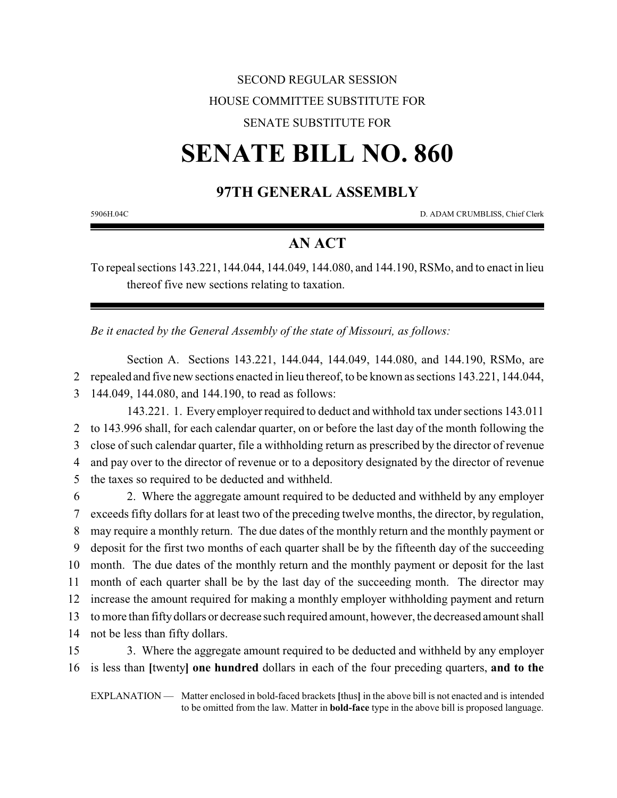## SECOND REGULAR SESSION HOUSE COMMITTEE SUBSTITUTE FOR

#### SENATE SUBSTITUTE FOR

# **SENATE BILL NO. 860**

## **97TH GENERAL ASSEMBLY**

5906H.04C D. ADAM CRUMBLISS, Chief Clerk

### **AN ACT**

To repeal sections 143.221, 144.044, 144.049, 144.080, and 144.190, RSMo, and to enact in lieu thereof five new sections relating to taxation.

*Be it enacted by the General Assembly of the state of Missouri, as follows:*

Section A. Sections 143.221, 144.044, 144.049, 144.080, and 144.190, RSMo, are 2 repealed and five new sections enacted in lieu thereof, to be known as sections 143.221, 144.044, 3 144.049, 144.080, and 144.190, to read as follows:

143.221. 1. Every employer required to deduct and withhold tax under sections 143.011 to 143.996 shall, for each calendar quarter, on or before the last day of the month following the close of such calendar quarter, file a withholding return as prescribed by the director of revenue and pay over to the director of revenue or to a depository designated by the director of revenue the taxes so required to be deducted and withheld.

 2. Where the aggregate amount required to be deducted and withheld by any employer exceeds fifty dollars for at least two of the preceding twelve months, the director, by regulation, may require a monthly return. The due dates of the monthly return and the monthly payment or deposit for the first two months of each quarter shall be by the fifteenth day of the succeeding month. The due dates of the monthly return and the monthly payment or deposit for the last month of each quarter shall be by the last day of the succeeding month. The director may increase the amount required for making a monthly employer withholding payment and return to more than fiftydollars or decrease such required amount, however, the decreased amount shall not be less than fifty dollars.

15 3. Where the aggregate amount required to be deducted and withheld by any employer 16 is less than **[**twenty**] one hundred** dollars in each of the four preceding quarters, **and to the**

EXPLANATION — Matter enclosed in bold-faced brackets **[**thus**]** in the above bill is not enacted and is intended to be omitted from the law. Matter in **bold-face** type in the above bill is proposed language.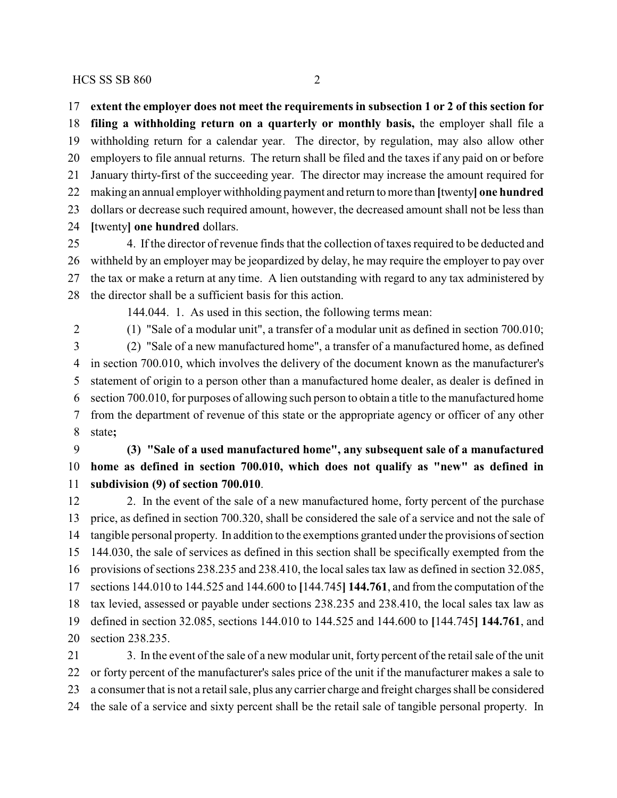**extent the employer does not meet the requirements in subsection 1 or 2 of this section for filing a withholding return on a quarterly or monthly basis,** the employer shall file a withholding return for a calendar year. The director, by regulation, may also allow other employers to file annual returns. The return shall be filed and the taxes if any paid on or before January thirty-first of the succeeding year. The director may increase the amount required for making an annual employer withholding payment and return to more than **[**twenty**] one hundred** dollars or decrease such required amount, however, the decreased amount shall not be less than **[**twenty**] one hundred** dollars.

 4. If the director of revenue finds that the collection of taxes required to be deducted and withheld by an employer may be jeopardized by delay, he may require the employer to pay over the tax or make a return at any time. A lien outstanding with regard to any tax administered by the director shall be a sufficient basis for this action.

144.044. 1. As used in this section, the following terms mean:

(1) "Sale of a modular unit", a transfer of a modular unit as defined in section 700.010;

 (2) "Sale of a new manufactured home", a transfer of a manufactured home, as defined in section 700.010, which involves the delivery of the document known as the manufacturer's statement of origin to a person other than a manufactured home dealer, as dealer is defined in section 700.010, for purposes of allowing such person to obtain a title to the manufactured home from the department of revenue of this state or the appropriate agency or officer of any other state**;**

 **(3) "Sale of a used manufactured home", any subsequent sale of a manufactured home as defined in section 700.010, which does not qualify as "new" as defined in subdivision (9) of section 700.010**.

12 2. In the event of the sale of a new manufactured home, forty percent of the purchase price, as defined in section 700.320, shall be considered the sale of a service and not the sale of tangible personal property. In addition to the exemptions granted under the provisions of section 144.030, the sale of services as defined in this section shall be specifically exempted from the provisions of sections 238.235 and 238.410, the local sales tax law as defined in section 32.085, sections 144.010 to 144.525 and 144.600 to **[**144.745**] 144.761**, and from the computation of the tax levied, assessed or payable under sections 238.235 and 238.410, the local sales tax law as defined in section 32.085, sections 144.010 to 144.525 and 144.600 to **[**144.745**] 144.761**, and section 238.235.

 3. In the event of the sale of a new modular unit, forty percent of the retail sale of the unit or forty percent of the manufacturer's sales price of the unit if the manufacturer makes a sale to a consumer that is not a retail sale, plus any carrier charge and freight charges shall be considered the sale of a service and sixty percent shall be the retail sale of tangible personal property. In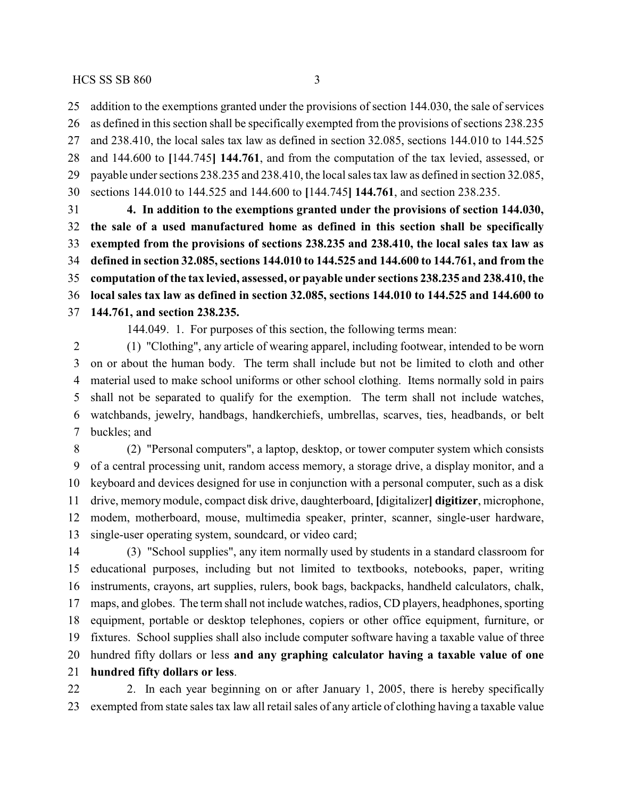addition to the exemptions granted under the provisions of section 144.030, the sale of services

 as defined in this section shall be specifically exempted from the provisions of sections 238.235 and 238.410, the local sales tax law as defined in section 32.085, sections 144.010 to 144.525

 and 144.600 to **[**144.745**] 144.761**, and from the computation of the tax levied, assessed, or payable under sections 238.235 and 238.410, the local sales tax law as defined in section 32.085, sections 144.010 to 144.525 and 144.600 to **[**144.745**] 144.761**, and section 238.235.

 **4. In addition to the exemptions granted under the provisions of section 144.030, the sale of a used manufactured home as defined in this section shall be specifically exempted from the provisions of sections 238.235 and 238.410, the local sales tax law as defined in section 32.085, sections 144.010 to 144.525 and 144.600 to 144.761, and from the computation of the tax levied, assessed, or payable under sections 238.235 and 238.410, the local sales tax law as defined in section 32.085, sections 144.010 to 144.525 and 144.600 to 144.761, and section 238.235.**

144.049. 1. For purposes of this section, the following terms mean:

 (1) "Clothing", any article of wearing apparel, including footwear, intended to be worn on or about the human body. The term shall include but not be limited to cloth and other material used to make school uniforms or other school clothing. Items normally sold in pairs shall not be separated to qualify for the exemption. The term shall not include watches, watchbands, jewelry, handbags, handkerchiefs, umbrellas, scarves, ties, headbands, or belt buckles; and

 (2) "Personal computers", a laptop, desktop, or tower computer system which consists of a central processing unit, random access memory, a storage drive, a display monitor, and a keyboard and devices designed for use in conjunction with a personal computer, such as a disk drive, memory module, compact disk drive, daughterboard, **[**digitalizer**] digitizer**, microphone, modem, motherboard, mouse, multimedia speaker, printer, scanner, single-user hardware, single-user operating system, soundcard, or video card;

 (3) "School supplies", any item normally used by students in a standard classroom for educational purposes, including but not limited to textbooks, notebooks, paper, writing instruments, crayons, art supplies, rulers, book bags, backpacks, handheld calculators, chalk, maps, and globes. The term shall not include watches, radios, CD players, headphones, sporting equipment, portable or desktop telephones, copiers or other office equipment, furniture, or fixtures. School supplies shall also include computer software having a taxable value of three hundred fifty dollars or less **and any graphing calculator having a taxable value of one hundred fifty dollars or less**.

22 2. In each year beginning on or after January 1, 2005, there is hereby specifically exempted from state sales tax law all retail sales of any article of clothing having a taxable value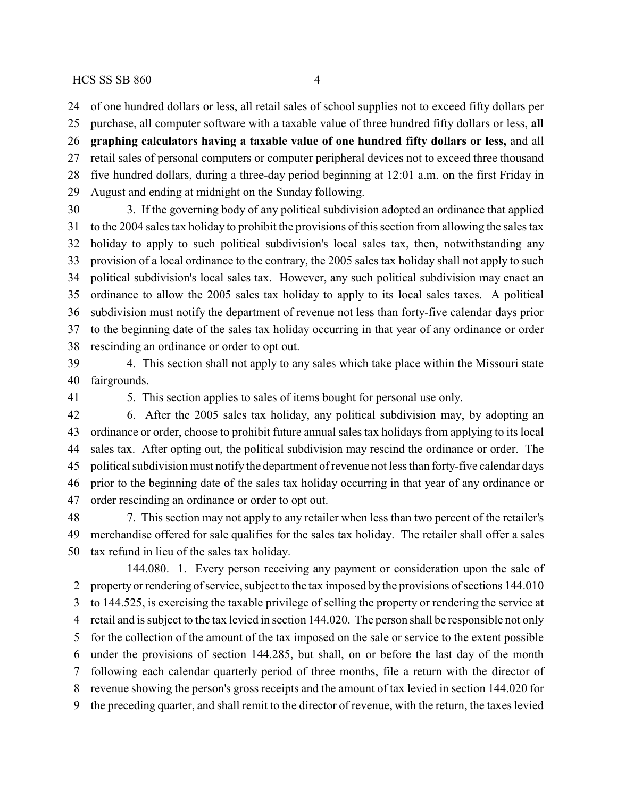of one hundred dollars or less, all retail sales of school supplies not to exceed fifty dollars per

 purchase, all computer software with a taxable value of three hundred fifty dollars or less, **all graphing calculators having a taxable value of one hundred fifty dollars or less,** and all retail sales of personal computers or computer peripheral devices not to exceed three thousand five hundred dollars, during a three-day period beginning at 12:01 a.m. on the first Friday in August and ending at midnight on the Sunday following.

 3. If the governing body of any political subdivision adopted an ordinance that applied to the 2004 sales tax holiday to prohibit the provisions of this section from allowing the sales tax holiday to apply to such political subdivision's local sales tax, then, notwithstanding any provision of a local ordinance to the contrary, the 2005 sales tax holiday shall not apply to such political subdivision's local sales tax. However, any such political subdivision may enact an ordinance to allow the 2005 sales tax holiday to apply to its local sales taxes. A political subdivision must notify the department of revenue not less than forty-five calendar days prior to the beginning date of the sales tax holiday occurring in that year of any ordinance or order rescinding an ordinance or order to opt out.

 4. This section shall not apply to any sales which take place within the Missouri state fairgrounds.

5. This section applies to sales of items bought for personal use only.

 6. After the 2005 sales tax holiday, any political subdivision may, by adopting an ordinance or order, choose to prohibit future annual sales tax holidays from applying to its local sales tax. After opting out, the political subdivision may rescind the ordinance or order. The political subdivision must notify the department of revenue not less than forty-five calendar days prior to the beginning date of the sales tax holiday occurring in that year of any ordinance or order rescinding an ordinance or order to opt out.

 7. This section may not apply to any retailer when less than two percent of the retailer's merchandise offered for sale qualifies for the sales tax holiday. The retailer shall offer a sales tax refund in lieu of the sales tax holiday.

144.080. 1. Every person receiving any payment or consideration upon the sale of property or rendering of service, subject to the tax imposed by the provisions of sections 144.010 to 144.525, is exercising the taxable privilege of selling the property or rendering the service at retail and is subject to the tax levied in section 144.020. The person shall be responsible not only for the collection of the amount of the tax imposed on the sale or service to the extent possible under the provisions of section 144.285, but shall, on or before the last day of the month following each calendar quarterly period of three months, file a return with the director of revenue showing the person's gross receipts and the amount of tax levied in section 144.020 for the preceding quarter, and shall remit to the director of revenue, with the return, the taxes levied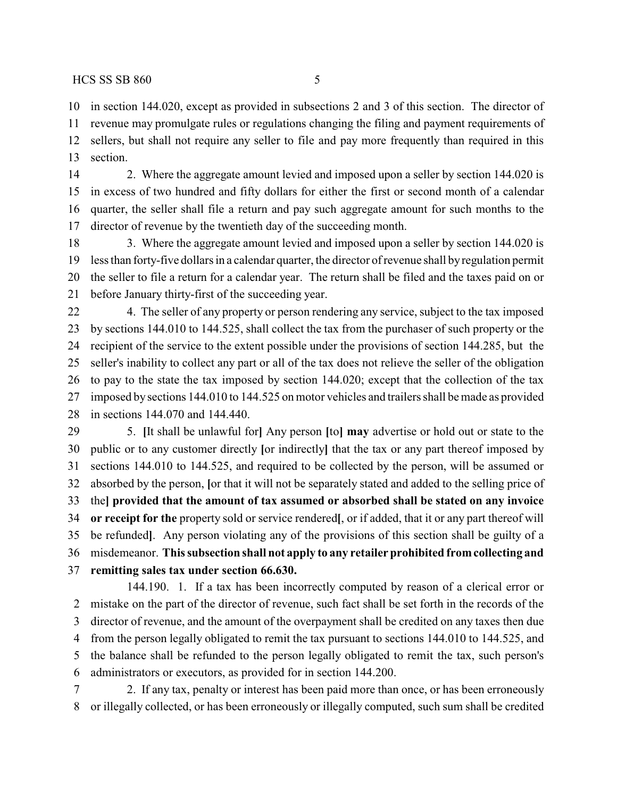in section 144.020, except as provided in subsections 2 and 3 of this section. The director of revenue may promulgate rules or regulations changing the filing and payment requirements of sellers, but shall not require any seller to file and pay more frequently than required in this section.

 2. Where the aggregate amount levied and imposed upon a seller by section 144.020 is in excess of two hundred and fifty dollars for either the first or second month of a calendar quarter, the seller shall file a return and pay such aggregate amount for such months to the director of revenue by the twentieth day of the succeeding month.

18 3. Where the aggregate amount levied and imposed upon a seller by section 144.020 is less than forty-five dollars in a calendar quarter, the director of revenue shall byregulation permit the seller to file a return for a calendar year. The return shall be filed and the taxes paid on or before January thirty-first of the succeeding year.

 4. The seller of any property or person rendering any service, subject to the tax imposed by sections 144.010 to 144.525, shall collect the tax from the purchaser of such property or the recipient of the service to the extent possible under the provisions of section 144.285, but the seller's inability to collect any part or all of the tax does not relieve the seller of the obligation to pay to the state the tax imposed by section 144.020; except that the collection of the tax imposed by sections 144.010 to 144.525 on motor vehicles and trailers shall be made as provided in sections 144.070 and 144.440.

 5. **[**It shall be unlawful for**]** Any person **[**to**] may** advertise or hold out or state to the public or to any customer directly **[**or indirectly**]** that the tax or any part thereof imposed by sections 144.010 to 144.525, and required to be collected by the person, will be assumed or absorbed by the person, **[**or that it will not be separately stated and added to the selling price of the**] provided that the amount of tax assumed or absorbed shall be stated on any invoice or receipt for the** property sold or service rendered**[**, or if added, that it or any part thereof will be refunded**]**. Any person violating any of the provisions of this section shall be guilty of a misdemeanor. **This subsection shall not apply to any retailer prohibited fromcollecting and remitting sales tax under section 66.630.**

144.190. 1. If a tax has been incorrectly computed by reason of a clerical error or mistake on the part of the director of revenue, such fact shall be set forth in the records of the director of revenue, and the amount of the overpayment shall be credited on any taxes then due from the person legally obligated to remit the tax pursuant to sections 144.010 to 144.525, and the balance shall be refunded to the person legally obligated to remit the tax, such person's administrators or executors, as provided for in section 144.200.

 2. If any tax, penalty or interest has been paid more than once, or has been erroneously or illegally collected, or has been erroneously or illegally computed, such sum shall be credited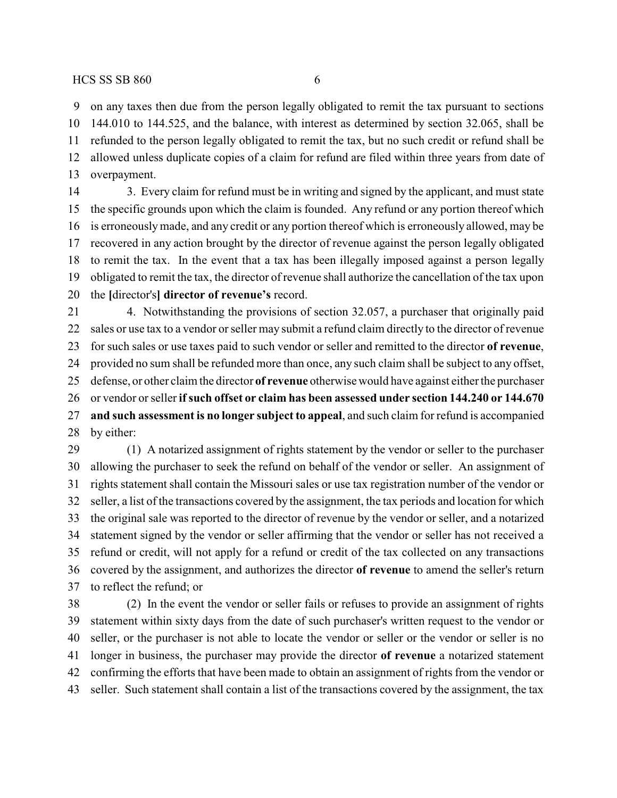on any taxes then due from the person legally obligated to remit the tax pursuant to sections 144.010 to 144.525, and the balance, with interest as determined by section 32.065, shall be refunded to the person legally obligated to remit the tax, but no such credit or refund shall be allowed unless duplicate copies of a claim for refund are filed within three years from date of overpayment.

 3. Every claim for refund must be in writing and signed by the applicant, and must state the specific grounds upon which the claim is founded. Any refund or any portion thereof which is erroneouslymade, and any credit or any portion thereof which is erroneously allowed, may be recovered in any action brought by the director of revenue against the person legally obligated to remit the tax. In the event that a tax has been illegally imposed against a person legally obligated to remit the tax, the director of revenue shall authorize the cancellation of the tax upon the **[**director's**] director of revenue's** record.

 4. Notwithstanding the provisions of section 32.057, a purchaser that originally paid sales or use tax to a vendor or seller may submit a refund claim directly to the director of revenue for such sales or use taxes paid to such vendor or seller and remitted to the director **of revenue**, provided no sum shall be refunded more than once, any such claim shall be subject to any offset, defense, or other claim the director **of revenue** otherwise would have against either the purchaser or vendor or seller **ifsuch offset or claim has been assessed under section 144.240 or 144.670 and such assessment is no longer subject to appeal**, and such claim for refund is accompanied by either: (1) A notarized assignment of rights statement by the vendor or seller to the purchaser

 allowing the purchaser to seek the refund on behalf of the vendor or seller. An assignment of rights statement shall contain the Missouri sales or use tax registration number of the vendor or seller, a list of the transactions covered by the assignment, the tax periods and location for which the original sale was reported to the director of revenue by the vendor or seller, and a notarized statement signed by the vendor or seller affirming that the vendor or seller has not received a refund or credit, will not apply for a refund or credit of the tax collected on any transactions covered by the assignment, and authorizes the director **of revenue** to amend the seller's return to reflect the refund; or

 (2) In the event the vendor or seller fails or refuses to provide an assignment of rights statement within sixty days from the date of such purchaser's written request to the vendor or seller, or the purchaser is not able to locate the vendor or seller or the vendor or seller is no longer in business, the purchaser may provide the director **of revenue** a notarized statement confirming the efforts that have been made to obtain an assignment of rights from the vendor or seller. Such statement shall contain a list of the transactions covered by the assignment, the tax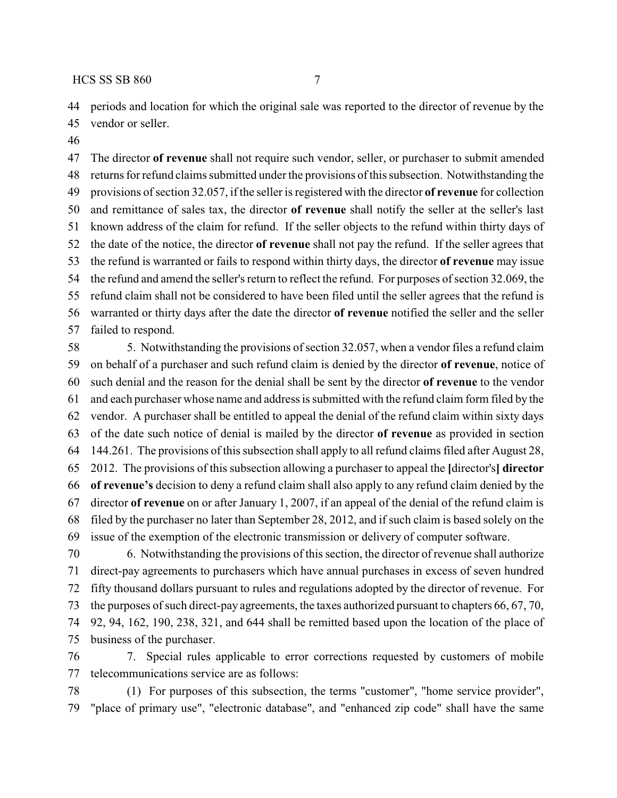periods and location for which the original sale was reported to the director of revenue by the

- vendor or seller.
- 

 The director **of revenue** shall not require such vendor, seller, or purchaser to submit amended returns for refund claims submitted under the provisions of this subsection. Notwithstanding the provisions of section 32.057, if the seller is registered with the director **of revenue** for collection and remittance of sales tax, the director **of revenue** shall notify the seller at the seller's last known address of the claim for refund. If the seller objects to the refund within thirty days of the date of the notice, the director **of revenue** shall not pay the refund. If the seller agrees that the refund is warranted or fails to respond within thirty days, the director **of revenue** may issue the refund and amend the seller's return to reflect the refund. For purposes of section 32.069, the refund claim shall not be considered to have been filed until the seller agrees that the refund is warranted or thirty days after the date the director **of revenue** notified the seller and the seller failed to respond.

 5. Notwithstanding the provisions of section 32.057, when a vendor files a refund claim on behalf of a purchaser and such refund claim is denied by the director **of revenue**, notice of such denial and the reason for the denial shall be sent by the director **of revenue** to the vendor and each purchaser whose name and address is submitted with the refund claim form filed by the vendor. A purchaser shall be entitled to appeal the denial of the refund claim within sixty days of the date such notice of denial is mailed by the director **of revenue** as provided in section 144.261. The provisions of this subsection shall apply to all refund claims filed after August 28, 2012. The provisions of this subsection allowing a purchaser to appeal the **[**director's**] director of revenue's** decision to deny a refund claim shall also apply to any refund claim denied by the director **of revenue** on or after January 1, 2007, if an appeal of the denial of the refund claim is filed by the purchaser no later than September 28, 2012, and if such claim is based solely on the issue of the exemption of the electronic transmission or delivery of computer software.

 6. Notwithstanding the provisions of this section, the director of revenue shall authorize direct-pay agreements to purchasers which have annual purchases in excess of seven hundred fifty thousand dollars pursuant to rules and regulations adopted by the director of revenue. For the purposes of such direct-pay agreements, the taxes authorized pursuant to chapters 66, 67, 70, 92, 94, 162, 190, 238, 321, and 644 shall be remitted based upon the location of the place of business of the purchaser.

 7. Special rules applicable to error corrections requested by customers of mobile telecommunications service are as follows:

 (1) For purposes of this subsection, the terms "customer", "home service provider", "place of primary use", "electronic database", and "enhanced zip code" shall have the same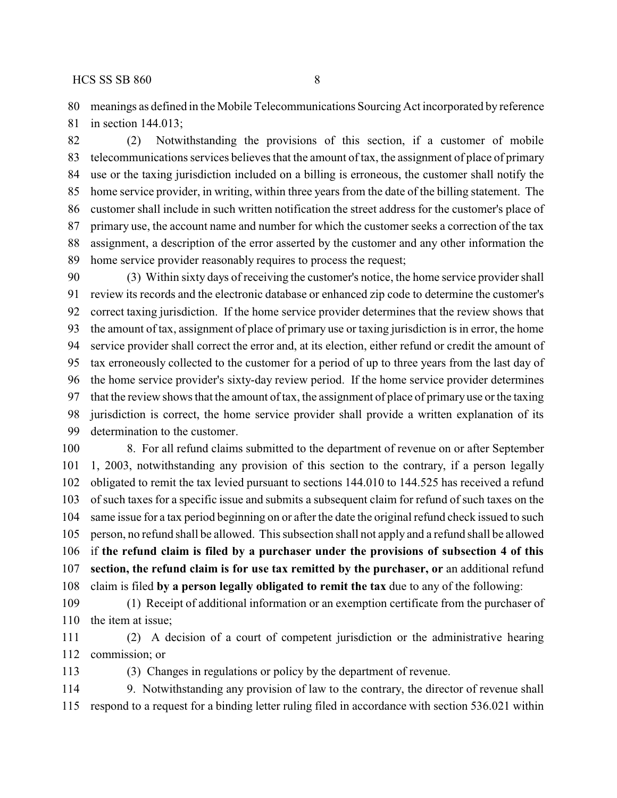meanings as defined in the Mobile Telecommunications Sourcing Act incorporated by reference

in section 144.013;

 (2) Notwithstanding the provisions of this section, if a customer of mobile telecommunications services believes that the amount of tax, the assignment of place of primary use or the taxing jurisdiction included on a billing is erroneous, the customer shall notify the home service provider, in writing, within three years from the date of the billing statement. The customer shall include in such written notification the street address for the customer's place of primary use, the account name and number for which the customer seeks a correction of the tax assignment, a description of the error asserted by the customer and any other information the home service provider reasonably requires to process the request;

 (3) Within sixty days of receiving the customer's notice, the home service provider shall review its records and the electronic database or enhanced zip code to determine the customer's correct taxing jurisdiction. If the home service provider determines that the review shows that the amount of tax, assignment of place of primary use or taxing jurisdiction is in error, the home service provider shall correct the error and, at its election, either refund or credit the amount of tax erroneously collected to the customer for a period of up to three years from the last day of the home service provider's sixty-day review period. If the home service provider determines that the review shows that the amount of tax, the assignment of place of primary use or the taxing jurisdiction is correct, the home service provider shall provide a written explanation of its determination to the customer.

 8. For all refund claims submitted to the department of revenue on or after September 1, 2003, notwithstanding any provision of this section to the contrary, if a person legally obligated to remit the tax levied pursuant to sections 144.010 to 144.525 has received a refund of such taxes for a specific issue and submits a subsequent claim for refund of such taxes on the same issue for a tax period beginning on or after the date the original refund check issued to such person, no refund shall be allowed. This subsection shall not apply and a refund shall be allowed if **the refund claim is filed by a purchaser under the provisions of subsection 4 of this section, the refund claim is for use tax remitted by the purchaser, or** an additional refund claim is filed **by a person legally obligated to remit the tax** due to any of the following:

 (1) Receipt of additional information or an exemption certificate from the purchaser of the item at issue;

 (2) A decision of a court of competent jurisdiction or the administrative hearing commission; or

(3) Changes in regulations or policy by the department of revenue.

 9. Notwithstanding any provision of law to the contrary, the director of revenue shall respond to a request for a binding letter ruling filed in accordance with section 536.021 within